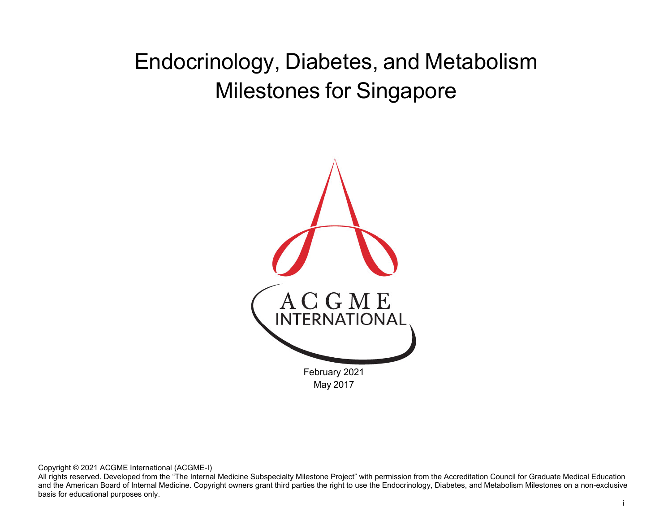# Endocrinology, Diabetes, and Metabolism Milestones for Singapore



Copyright © 2021 ACGME International (ACGME-I)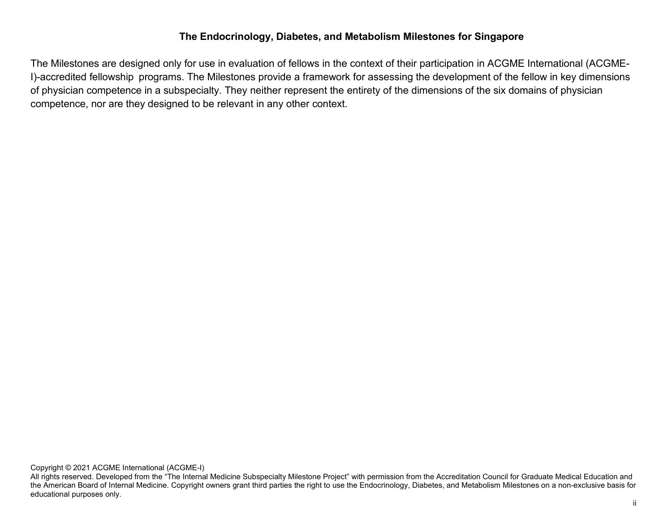### **The Endocrinology, Diabetes, and Metabolism Milestones for Singapore**

The Milestones are designed only for use in evaluation of fellows in the context of their participation in ACGME International (ACGME-I)-accredited fellowship programs. The Milestones provide a framework for assessing the development of the fellow in key dimensions of physician competence in a subspecialty. They neither represent the entirety of the dimensions of the six domains of physician competence, nor are they designed to be relevant in any other context.

Copyright © 2021 ACGME International (ACGME-I)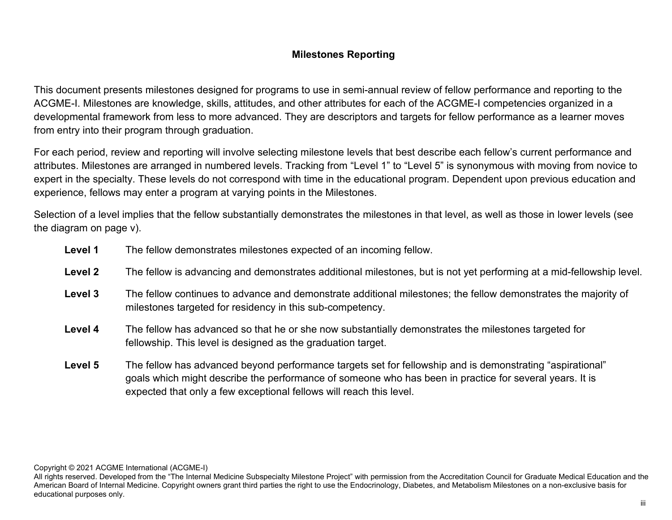## **Milestones Reporting**

This document presents milestones designed for programs to use in semi-annual review of fellow performance and reporting to the ACGME-I. Milestones are knowledge, skills, attitudes, and other attributes for each of the ACGME-I competencies organized in a developmental framework from less to more advanced. They are descriptors and targets for fellow performance as a learner moves from entry into their program through graduation.

For each period, review and reporting will involve selecting milestone levels that best describe each fellow's current performance and attributes. Milestones are arranged in numbered levels. Tracking from "Level 1" to "Level 5" is synonymous with moving from novice to expert in the specialty. These levels do not correspond with time in the educational program. Dependent upon previous education and experience, fellows may enter a program at varying points in the Milestones.

Selection of a level implies that the fellow substantially demonstrates the milestones in that level, as well as those in lower levels (see the diagram on page v).

| Level 1 | The fellow demonstrates milestones expected of an incoming fellow.                                                                                                                                                                                                                          |
|---------|---------------------------------------------------------------------------------------------------------------------------------------------------------------------------------------------------------------------------------------------------------------------------------------------|
| Level 2 | The fellow is advancing and demonstrates additional milestones, but is not yet performing at a mid-fellowship level.                                                                                                                                                                        |
| Level 3 | The fellow continues to advance and demonstrate additional milestones; the fellow demonstrates the majority of<br>milestones targeted for residency in this sub-competency.                                                                                                                 |
| Level 4 | The fellow has advanced so that he or she now substantially demonstrates the milestones targeted for<br>fellowship. This level is designed as the graduation target.                                                                                                                        |
| Level 5 | The fellow has advanced beyond performance targets set for fellowship and is demonstrating "aspirational"<br>goals which might describe the performance of someone who has been in practice for several years. It is<br>expected that only a few exceptional fellows will reach this level. |

All rights reserved. Developed from the "The Internal Medicine Subspecialty Milestone Project" with permission from the Accreditation Council for Graduate Medical Education and the American Board of Internal Medicine. Copyright owners grant third parties the right to use the Endocrinology, Diabetes, and Metabolism Milestones on a non-exclusive basis for educational purposes only.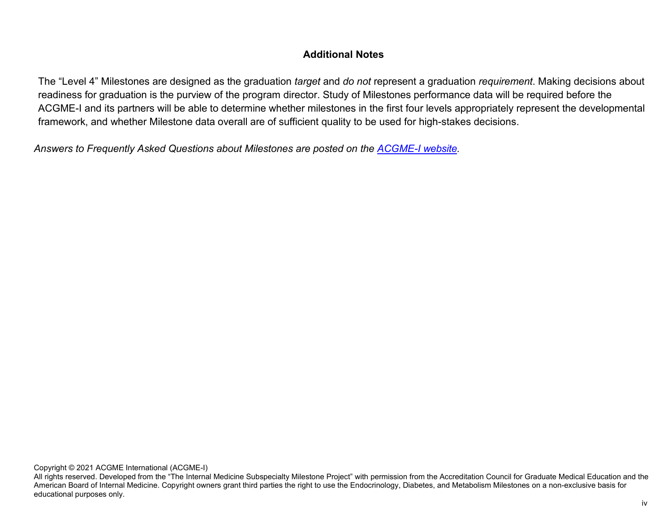## **Additional Notes**

The "Level 4" Milestones are designed as the graduation *target* and *do not* represent a graduation *requirement*. Making decisions about readiness for graduation is the purview of the program director. Study of Milestones performance data will be required before the ACGME-I and its partners will be able to determine whether milestones in the first four levels appropriately represent the developmental framework, and whether Milestone data overall are of sufficient quality to be used for high-stakes decisions.

*Answers to Frequently Asked Questions about Milestones are posted on the [ACGME-I](http://www.acgme-i.org/) [website.](http://www.acgme-i.org/)*

Copyright © 2021 ACGME International (ACGME-I)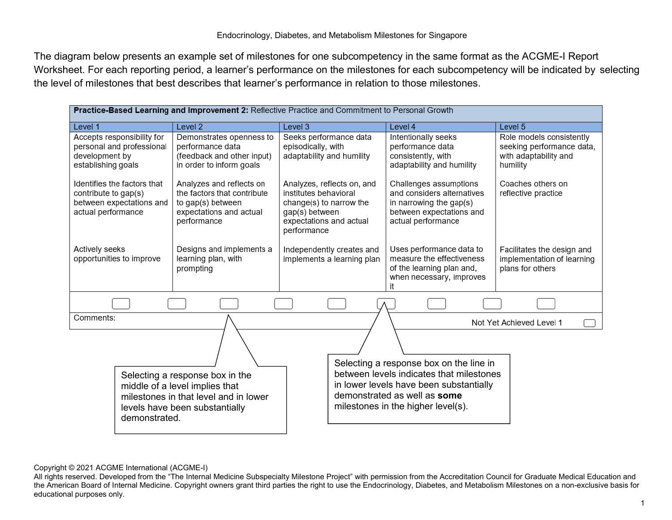The diagram below presents an example set of milestones for one subcompetency in the same format as the ACGME-I Report Worksheet. For each reporting period, a learner's performance on the milestones for each subcompetency will be indicated by selecting the level of milestones that best describes that learner's performance in relation to those milestones.

| Practice-Based Learning and Improvement 2: Reflective Practice and Commitment to Personal Growth                                                                                                                                |                                                                                                                                              |                                                                                                                                            |                                                                                                                                                                                                      |                                                                                            |  |  |  |
|---------------------------------------------------------------------------------------------------------------------------------------------------------------------------------------------------------------------------------|----------------------------------------------------------------------------------------------------------------------------------------------|--------------------------------------------------------------------------------------------------------------------------------------------|------------------------------------------------------------------------------------------------------------------------------------------------------------------------------------------------------|--------------------------------------------------------------------------------------------|--|--|--|
| Level 1                                                                                                                                                                                                                         | Level <sub>2</sub>                                                                                                                           | Level 3                                                                                                                                    | Level 4                                                                                                                                                                                              | Level 5                                                                                    |  |  |  |
| Accepts responsibility for<br>personal and professional<br>development by<br>establishing goals                                                                                                                                 | Demonstrates openness to<br>performance data<br>(feedback and other input)<br>in order to inform goals                                       | Seeks performance data<br>episodically, with<br>adaptability and humility                                                                  | Intentionally seeks<br>performance data<br>consistently, with<br>adaptability and humility                                                                                                           | Role models consistently<br>seeking performance data,<br>with adaptability and<br>humility |  |  |  |
| Identifies the factors that<br>Analyzes and reflects on<br>the factors that contribute<br>contribute to gap(s)<br>between expectations and<br>to gap(s) between<br>actual performance<br>expectations and actual<br>performance |                                                                                                                                              | Analyzes, reflects on, and<br>institutes behavioral<br>change(s) to narrow the<br>gap(s) between<br>expectations and actual<br>performance | Challenges assumptions<br>and considers alternatives<br>in narrowing the gap(s)<br>between expectations and<br>actual performance                                                                    | Coaches others on<br>reflective practice                                                   |  |  |  |
| Actively seeks<br>opportunities to improve                                                                                                                                                                                      | Designs and implements a<br>learning plan, with<br>prompting                                                                                 | Independently creates and<br>implements a learning plan                                                                                    | Uses performance data to<br>measure the effectiveness<br>of the learning plan and,<br>when necessary, improves<br>it                                                                                 | Facilitates the design and<br>implementation of learning<br>plans for others               |  |  |  |
|                                                                                                                                                                                                                                 |                                                                                                                                              |                                                                                                                                            |                                                                                                                                                                                                      |                                                                                            |  |  |  |
| Comments:                                                                                                                                                                                                                       |                                                                                                                                              |                                                                                                                                            |                                                                                                                                                                                                      | Not Yet Achieved Level 1                                                                   |  |  |  |
| demonstrated.                                                                                                                                                                                                                   | Selecting a response box in the<br>middle of a level implies that<br>milestones in that level and in lower<br>levels have been substantially |                                                                                                                                            | Selecting a response box on the line in<br>between levels indicates that milestones<br>in lower levels have been substantially<br>demonstrated as well as some<br>milestones in the higher level(s). |                                                                                            |  |  |  |

Copyright © 2021 ACGME International (ACGME-I)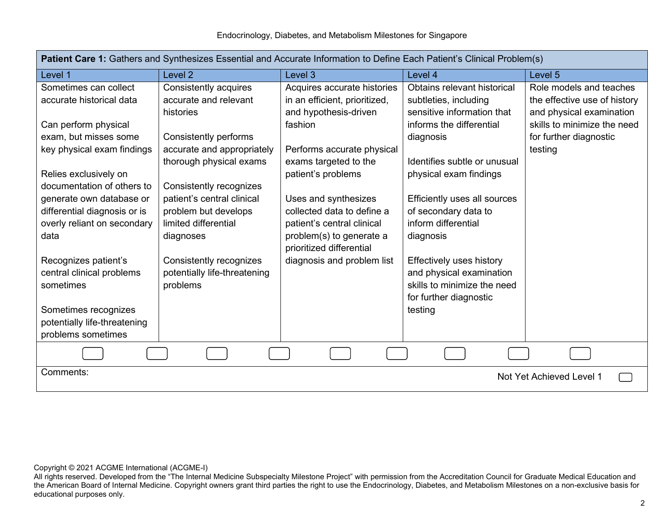| <b>Patient Care 1:</b> Gathers and Synthesizes Essential and Accurate Information to Define Each Patient's Clinical Problem(s) |                              |                                                      |                              |                              |  |  |  |
|--------------------------------------------------------------------------------------------------------------------------------|------------------------------|------------------------------------------------------|------------------------------|------------------------------|--|--|--|
| Level 1                                                                                                                        | Level <sub>2</sub>           | Level 3                                              | Level 4                      | Level 5                      |  |  |  |
| Sometimes can collect                                                                                                          | Consistently acquires        | Acquires accurate histories                          | Obtains relevant historical  | Role models and teaches      |  |  |  |
| accurate historical data                                                                                                       | accurate and relevant        | in an efficient, prioritized,                        | subtleties, including        | the effective use of history |  |  |  |
|                                                                                                                                | histories                    | and hypothesis-driven                                | sensitive information that   | and physical examination     |  |  |  |
| Can perform physical                                                                                                           |                              | fashion                                              | informs the differential     | skills to minimize the need  |  |  |  |
| exam, but misses some                                                                                                          | Consistently performs        |                                                      | diagnosis                    | for further diagnostic       |  |  |  |
| key physical exam findings                                                                                                     | accurate and appropriately   | Performs accurate physical                           |                              | testing                      |  |  |  |
|                                                                                                                                | thorough physical exams      | exams targeted to the                                | Identifies subtle or unusual |                              |  |  |  |
| Relies exclusively on                                                                                                          |                              | patient's problems                                   | physical exam findings       |                              |  |  |  |
| documentation of others to                                                                                                     | Consistently recognizes      |                                                      |                              |                              |  |  |  |
| generate own database or                                                                                                       | patient's central clinical   | Uses and synthesizes                                 | Efficiently uses all sources |                              |  |  |  |
| differential diagnosis or is                                                                                                   | problem but develops         | collected data to define a                           | of secondary data to         |                              |  |  |  |
| overly reliant on secondary                                                                                                    | limited differential         | patient's central clinical                           | inform differential          |                              |  |  |  |
| data                                                                                                                           | diagnoses                    | problem(s) to generate a<br>prioritized differential | diagnosis                    |                              |  |  |  |
| Recognizes patient's                                                                                                           | Consistently recognizes      | diagnosis and problem list                           | Effectively uses history     |                              |  |  |  |
| central clinical problems                                                                                                      | potentially life-threatening |                                                      | and physical examination     |                              |  |  |  |
| sometimes                                                                                                                      | problems                     |                                                      | skills to minimize the need  |                              |  |  |  |
|                                                                                                                                |                              |                                                      | for further diagnostic       |                              |  |  |  |
| Sometimes recognizes                                                                                                           |                              |                                                      | testing                      |                              |  |  |  |
| potentially life-threatening                                                                                                   |                              |                                                      |                              |                              |  |  |  |
| problems sometimes                                                                                                             |                              |                                                      |                              |                              |  |  |  |
|                                                                                                                                |                              |                                                      |                              |                              |  |  |  |
| Comments:                                                                                                                      |                              |                                                      |                              | Not Yet Achieved Level 1     |  |  |  |
|                                                                                                                                |                              |                                                      |                              |                              |  |  |  |

**Patient Care 1:** Gathers and Synthesizes Essential and Accurate Information to Define Each Patient's Clinical Problem(s)

All rights reserved. Developed from the "The Internal Medicine Subspecialty Milestone Project" with permission from the Accreditation Council for Graduate Medical Education and the American Board of Internal Medicine. Copyright owners grant third parties the right to use the Endocrinology, Diabetes, and Metabolism Milestones on a non-exclusive basis for educational purposes only.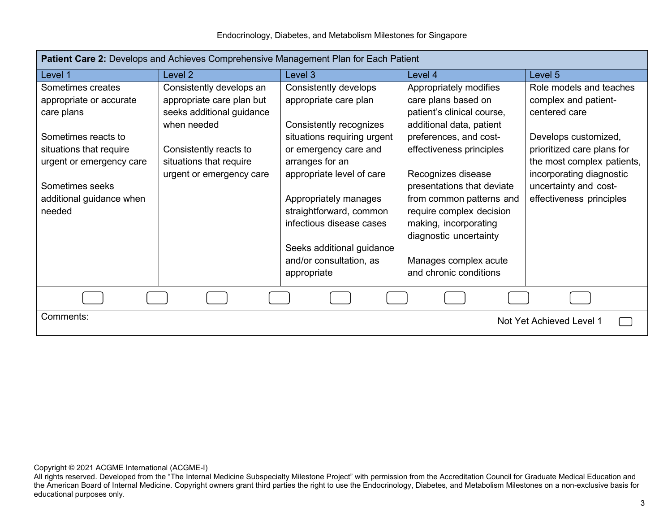Endocrinology, Diabetes, and Metabolism Milestones for Singapore

| Patient Care 2: Develops and Achieves Comprehensive Management Plan for Each Patient |                           |                             |                                                 |                            |  |  |
|--------------------------------------------------------------------------------------|---------------------------|-----------------------------|-------------------------------------------------|----------------------------|--|--|
| Level 1                                                                              | Level 2                   | Level 3                     | Level 4                                         | Level 5                    |  |  |
| Sometimes creates                                                                    | Consistently develops an  | Consistently develops       | Appropriately modifies                          | Role models and teaches    |  |  |
| appropriate or accurate                                                              | appropriate care plan but | appropriate care plan       | care plans based on                             | complex and patient-       |  |  |
| care plans                                                                           | seeks additional guidance |                             | patient's clinical course,                      | centered care              |  |  |
|                                                                                      | when needed               | Consistently recognizes     | additional data, patient                        |                            |  |  |
| Sometimes reacts to                                                                  |                           | situations requiring urgent | preferences, and cost-                          | Develops customized,       |  |  |
| situations that require                                                              | Consistently reacts to    | or emergency care and       | effectiveness principles                        | prioritized care plans for |  |  |
| urgent or emergency care                                                             | situations that require   | arranges for an             |                                                 | the most complex patients, |  |  |
|                                                                                      | urgent or emergency care  | appropriate level of care   | Recognizes disease                              | incorporating diagnostic   |  |  |
| Sometimes seeks                                                                      |                           |                             | presentations that deviate                      | uncertainty and cost-      |  |  |
| additional guidance when                                                             |                           | Appropriately manages       | from common patterns and                        | effectiveness principles   |  |  |
| needed                                                                               |                           | straightforward, common     | require complex decision                        |                            |  |  |
|                                                                                      |                           | infectious disease cases    | making, incorporating<br>diagnostic uncertainty |                            |  |  |
|                                                                                      |                           | Seeks additional guidance   |                                                 |                            |  |  |
|                                                                                      |                           | and/or consultation, as     | Manages complex acute                           |                            |  |  |
|                                                                                      |                           | appropriate                 | and chronic conditions                          |                            |  |  |
|                                                                                      |                           |                             |                                                 |                            |  |  |
|                                                                                      |                           |                             |                                                 |                            |  |  |
| Comments:<br>Not Yet Achieved Level 1                                                |                           |                             |                                                 |                            |  |  |

Copyright © 2021 ACGME International (ACGME-I)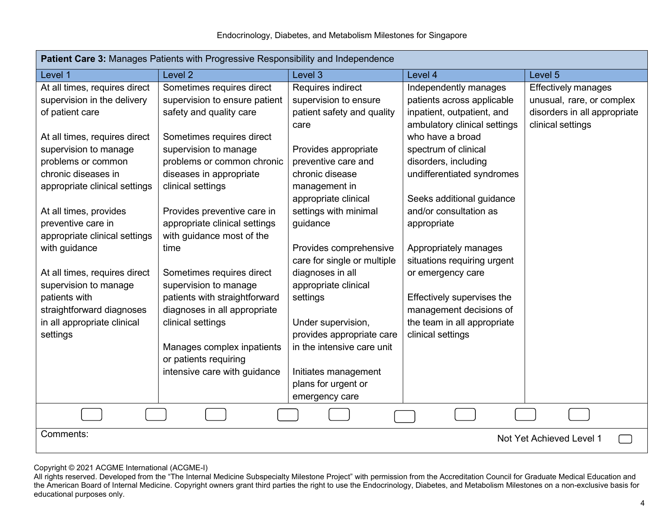| Patient Care 3: Manages Patients with Progressive Responsibility and Independence |                                                     |                                                         |                              |                              |  |  |
|-----------------------------------------------------------------------------------|-----------------------------------------------------|---------------------------------------------------------|------------------------------|------------------------------|--|--|
| Level 1                                                                           | Level <sub>2</sub>                                  | Level 3                                                 | Level 4                      | Level 5                      |  |  |
| At all times, requires direct                                                     | Sometimes requires direct                           | Requires indirect                                       | Independently manages        | <b>Effectively manages</b>   |  |  |
| supervision in the delivery                                                       | supervision to ensure patient                       | supervision to ensure                                   | patients across applicable   | unusual, rare, or complex    |  |  |
| of patient care                                                                   | safety and quality care                             | patient safety and quality                              | inpatient, outpatient, and   | disorders in all appropriate |  |  |
|                                                                                   |                                                     | care                                                    | ambulatory clinical settings | clinical settings            |  |  |
| At all times, requires direct                                                     | Sometimes requires direct                           |                                                         | who have a broad             |                              |  |  |
| supervision to manage                                                             | supervision to manage                               | Provides appropriate                                    | spectrum of clinical         |                              |  |  |
| problems or common                                                                | problems or common chronic                          | preventive care and                                     | disorders, including         |                              |  |  |
| chronic diseases in                                                               | diseases in appropriate                             | chronic disease                                         | undifferentiated syndromes   |                              |  |  |
| appropriate clinical settings                                                     | clinical settings                                   | management in                                           |                              |                              |  |  |
|                                                                                   |                                                     | appropriate clinical                                    | Seeks additional guidance    |                              |  |  |
| At all times, provides                                                            | Provides preventive care in                         | settings with minimal                                   | and/or consultation as       |                              |  |  |
| preventive care in                                                                | appropriate clinical settings                       | guidance                                                | appropriate                  |                              |  |  |
| appropriate clinical settings                                                     | with guidance most of the                           |                                                         |                              |                              |  |  |
| with guidance                                                                     | time                                                | Provides comprehensive                                  | Appropriately manages        |                              |  |  |
|                                                                                   |                                                     | care for single or multiple                             | situations requiring urgent  |                              |  |  |
| At all times, requires direct                                                     | Sometimes requires direct                           | diagnoses in all                                        | or emergency care            |                              |  |  |
| supervision to manage                                                             | supervision to manage                               | appropriate clinical                                    |                              |                              |  |  |
| patients with                                                                     | patients with straightforward                       | settings                                                | Effectively supervises the   |                              |  |  |
| straightforward diagnoses                                                         | diagnoses in all appropriate                        |                                                         | management decisions of      |                              |  |  |
| in all appropriate clinical                                                       | clinical settings                                   | Under supervision,                                      | the team in all appropriate  |                              |  |  |
| settings                                                                          |                                                     | provides appropriate care<br>in the intensive care unit | clinical settings            |                              |  |  |
|                                                                                   | Manages complex inpatients<br>or patients requiring |                                                         |                              |                              |  |  |
|                                                                                   | intensive care with guidance                        | Initiates management                                    |                              |                              |  |  |
|                                                                                   |                                                     | plans for urgent or                                     |                              |                              |  |  |
|                                                                                   |                                                     | emergency care                                          |                              |                              |  |  |
|                                                                                   |                                                     |                                                         |                              |                              |  |  |
|                                                                                   |                                                     |                                                         |                              |                              |  |  |
| Comments:                                                                         |                                                     |                                                         |                              | Not Yet Achieved Level 1     |  |  |
|                                                                                   |                                                     |                                                         |                              |                              |  |  |

All rights reserved. Developed from the "The Internal Medicine Subspecialty Milestone Project" with permission from the Accreditation Council for Graduate Medical Education and the American Board of Internal Medicine. Copyright owners grant third parties the right to use the Endocrinology, Diabetes, and Metabolism Milestones on a non-exclusive basis for educational purposes only.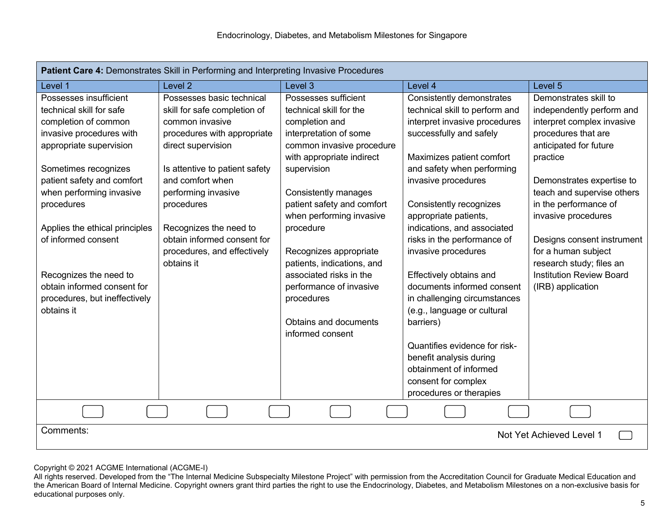| Patient Care 4: Demonstrates Skill in Performing and Interpreting Invasive Procedures                                                                                                                                                                                                                                                                                                              |                                                                                                                                                                                                                                                                                                                                    |                                                                                                                                                                                                                                                                                                                                                                                                                                              |                                                                                                                                                                                                                                                                                                                                                                                                                                                                                                                                                                                                      |                                                                                                                                                                                                                                                                                                                                                                                                   |  |  |  |
|----------------------------------------------------------------------------------------------------------------------------------------------------------------------------------------------------------------------------------------------------------------------------------------------------------------------------------------------------------------------------------------------------|------------------------------------------------------------------------------------------------------------------------------------------------------------------------------------------------------------------------------------------------------------------------------------------------------------------------------------|----------------------------------------------------------------------------------------------------------------------------------------------------------------------------------------------------------------------------------------------------------------------------------------------------------------------------------------------------------------------------------------------------------------------------------------------|------------------------------------------------------------------------------------------------------------------------------------------------------------------------------------------------------------------------------------------------------------------------------------------------------------------------------------------------------------------------------------------------------------------------------------------------------------------------------------------------------------------------------------------------------------------------------------------------------|---------------------------------------------------------------------------------------------------------------------------------------------------------------------------------------------------------------------------------------------------------------------------------------------------------------------------------------------------------------------------------------------------|--|--|--|
| Level 1                                                                                                                                                                                                                                                                                                                                                                                            | Level <sub>2</sub>                                                                                                                                                                                                                                                                                                                 | Level 3                                                                                                                                                                                                                                                                                                                                                                                                                                      | Level 4                                                                                                                                                                                                                                                                                                                                                                                                                                                                                                                                                                                              | Level <sub>5</sub>                                                                                                                                                                                                                                                                                                                                                                                |  |  |  |
| Possesses insufficient<br>technical skill for safe<br>completion of common<br>invasive procedures with<br>appropriate supervision<br>Sometimes recognizes<br>patient safety and comfort<br>when performing invasive<br>procedures<br>Applies the ethical principles<br>of informed consent<br>Recognizes the need to<br>obtain informed consent for<br>procedures, but ineffectively<br>obtains it | Possesses basic technical<br>skill for safe completion of<br>common invasive<br>procedures with appropriate<br>direct supervision<br>Is attentive to patient safety<br>and comfort when<br>performing invasive<br>procedures<br>Recognizes the need to<br>obtain informed consent for<br>procedures, and effectively<br>obtains it | Possesses sufficient<br>technical skill for the<br>completion and<br>interpretation of some<br>common invasive procedure<br>with appropriate indirect<br>supervision<br>Consistently manages<br>patient safety and comfort<br>when performing invasive<br>procedure<br>Recognizes appropriate<br>patients, indications, and<br>associated risks in the<br>performance of invasive<br>procedures<br>Obtains and documents<br>informed consent | Consistently demonstrates<br>technical skill to perform and<br>interpret invasive procedures<br>successfully and safely<br>Maximizes patient comfort<br>and safety when performing<br>invasive procedures<br>Consistently recognizes<br>appropriate patients,<br>indications, and associated<br>risks in the performance of<br>invasive procedures<br>Effectively obtains and<br>documents informed consent<br>in challenging circumstances<br>(e.g., language or cultural<br>barriers)<br>Quantifies evidence for risk-<br>benefit analysis during<br>obtainment of informed<br>consent for complex | Demonstrates skill to<br>independently perform and<br>interpret complex invasive<br>procedures that are<br>anticipated for future<br>practice<br>Demonstrates expertise to<br>teach and supervise others<br>in the performance of<br>invasive procedures<br>Designs consent instrument<br>for a human subject<br>research study; files an<br><b>Institution Review Board</b><br>(IRB) application |  |  |  |
| procedures or therapies                                                                                                                                                                                                                                                                                                                                                                            |                                                                                                                                                                                                                                                                                                                                    |                                                                                                                                                                                                                                                                                                                                                                                                                                              |                                                                                                                                                                                                                                                                                                                                                                                                                                                                                                                                                                                                      |                                                                                                                                                                                                                                                                                                                                                                                                   |  |  |  |
|                                                                                                                                                                                                                                                                                                                                                                                                    |                                                                                                                                                                                                                                                                                                                                    |                                                                                                                                                                                                                                                                                                                                                                                                                                              |                                                                                                                                                                                                                                                                                                                                                                                                                                                                                                                                                                                                      |                                                                                                                                                                                                                                                                                                                                                                                                   |  |  |  |
|                                                                                                                                                                                                                                                                                                                                                                                                    | Comments:<br>Not Yet Achieved Level 1                                                                                                                                                                                                                                                                                              |                                                                                                                                                                                                                                                                                                                                                                                                                                              |                                                                                                                                                                                                                                                                                                                                                                                                                                                                                                                                                                                                      |                                                                                                                                                                                                                                                                                                                                                                                                   |  |  |  |

All rights reserved. Developed from the "The Internal Medicine Subspecialty Milestone Project" with permission from the Accreditation Council for Graduate Medical Education and the American Board of Internal Medicine. Copyright owners grant third parties the right to use the Endocrinology, Diabetes, and Metabolism Milestones on a non-exclusive basis for educational purposes only.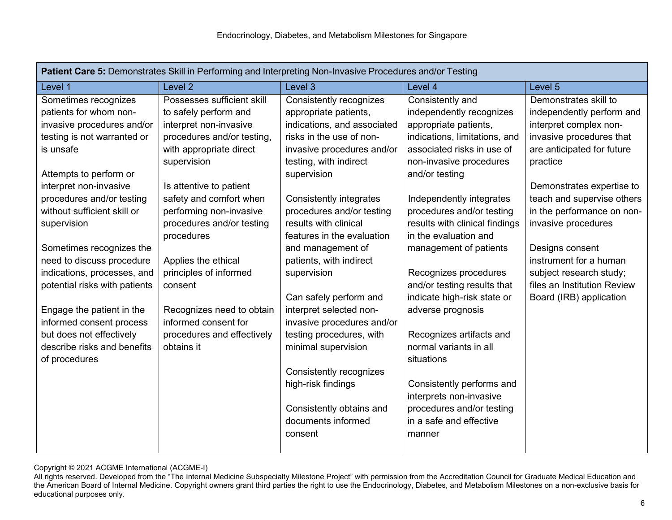| Patient Care 5: Demonstrates Skill in Performing and Interpreting Non-Invasive Procedures and/or Testing |                            |                                |                                                            |                                                        |  |  |
|----------------------------------------------------------------------------------------------------------|----------------------------|--------------------------------|------------------------------------------------------------|--------------------------------------------------------|--|--|
| Level 1                                                                                                  | Level <sub>2</sub>         | Level 3                        | Level 4                                                    | Level 5                                                |  |  |
| Sometimes recognizes                                                                                     | Possesses sufficient skill | <b>Consistently recognizes</b> | Consistently and                                           | Demonstrates skill to                                  |  |  |
| patients for whom non-                                                                                   | to safely perform and      | appropriate patients,          | independently recognizes                                   | independently perform and                              |  |  |
| invasive procedures and/or                                                                               | interpret non-invasive     | indications, and associated    | appropriate patients,                                      | interpret complex non-                                 |  |  |
| testing is not warranted or                                                                              | procedures and/or testing, | risks in the use of non-       | indications, limitations, and                              | invasive procedures that                               |  |  |
| is unsafe                                                                                                | with appropriate direct    | invasive procedures and/or     | associated risks in use of                                 | are anticipated for future                             |  |  |
|                                                                                                          | supervision                | testing, with indirect         | non-invasive procedures                                    | practice                                               |  |  |
| Attempts to perform or                                                                                   |                            | supervision                    | and/or testing                                             |                                                        |  |  |
| interpret non-invasive                                                                                   | Is attentive to patient    |                                |                                                            | Demonstrates expertise to                              |  |  |
| procedures and/or testing                                                                                | safety and comfort when    | Consistently integrates        | Independently integrates                                   | teach and supervise others                             |  |  |
| without sufficient skill or                                                                              | performing non-invasive    | procedures and/or testing      | procedures and/or testing                                  | in the performance on non-                             |  |  |
| supervision                                                                                              | procedures and/or testing  | results with clinical          | results with clinical findings                             | invasive procedures                                    |  |  |
|                                                                                                          | procedures                 | features in the evaluation     | in the evaluation and                                      |                                                        |  |  |
| Sometimes recognizes the                                                                                 |                            | and management of              | management of patients                                     | Designs consent                                        |  |  |
| need to discuss procedure                                                                                | Applies the ethical        | patients, with indirect        |                                                            | instrument for a human                                 |  |  |
| indications, processes, and                                                                              | principles of informed     | supervision                    | Recognizes procedures                                      | subject research study;<br>files an Institution Review |  |  |
| potential risks with patients                                                                            | consent                    | Can safely perform and         | and/or testing results that<br>indicate high-risk state or |                                                        |  |  |
| Engage the patient in the                                                                                | Recognizes need to obtain  | interpret selected non-        | adverse prognosis                                          | Board (IRB) application                                |  |  |
| informed consent process                                                                                 | informed consent for       | invasive procedures and/or     |                                                            |                                                        |  |  |
| but does not effectively                                                                                 | procedures and effectively | testing procedures, with       | Recognizes artifacts and                                   |                                                        |  |  |
| describe risks and benefits                                                                              | obtains it                 | minimal supervision            | normal variants in all                                     |                                                        |  |  |
| of procedures                                                                                            |                            |                                | situations                                                 |                                                        |  |  |
|                                                                                                          |                            | Consistently recognizes        |                                                            |                                                        |  |  |
|                                                                                                          |                            | high-risk findings             | Consistently performs and                                  |                                                        |  |  |
|                                                                                                          |                            |                                | interprets non-invasive                                    |                                                        |  |  |
|                                                                                                          |                            | Consistently obtains and       | procedures and/or testing                                  |                                                        |  |  |
|                                                                                                          |                            | documents informed             | in a safe and effective                                    |                                                        |  |  |
|                                                                                                          |                            | consent                        | manner                                                     |                                                        |  |  |
|                                                                                                          |                            |                                |                                                            |                                                        |  |  |

All rights reserved. Developed from the "The Internal Medicine Subspecialty Milestone Project" with permission from the Accreditation Council for Graduate Medical Education and the American Board of Internal Medicine. Copyright owners grant third parties the right to use the Endocrinology, Diabetes, and Metabolism Milestones on a non-exclusive basis for educational purposes only.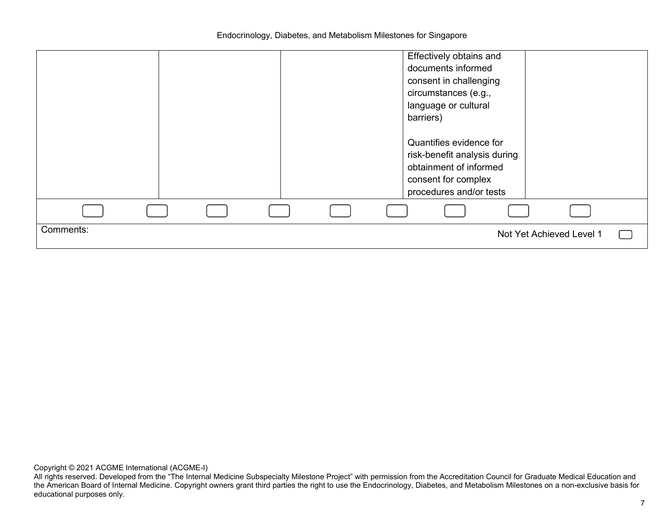Endocrinology, Diabetes, and Metabolism Milestones for Singapore

|           |  |  | Effectively obtains and<br>documents informed<br>consent in challenging<br>circumstances (e.g.,<br>language or cultural<br>barriers)<br>Quantifies evidence for<br>risk-benefit analysis during<br>obtainment of informed |
|-----------|--|--|---------------------------------------------------------------------------------------------------------------------------------------------------------------------------------------------------------------------------|
|           |  |  | consent for complex<br>procedures and/or tests                                                                                                                                                                            |
|           |  |  |                                                                                                                                                                                                                           |
| Comments: |  |  | Not Yet Achieved Level 1                                                                                                                                                                                                  |

All rights reserved. Developed from the "The Internal Medicine Subspecialty Milestone Project" with permission from the Accreditation Council for Graduate Medical Education and the American Board of Internal Medicine. Copyright owners grant third parties the right to use the Endocrinology, Diabetes, and Metabolism Milestones on a non-exclusive basis for educational purposes only.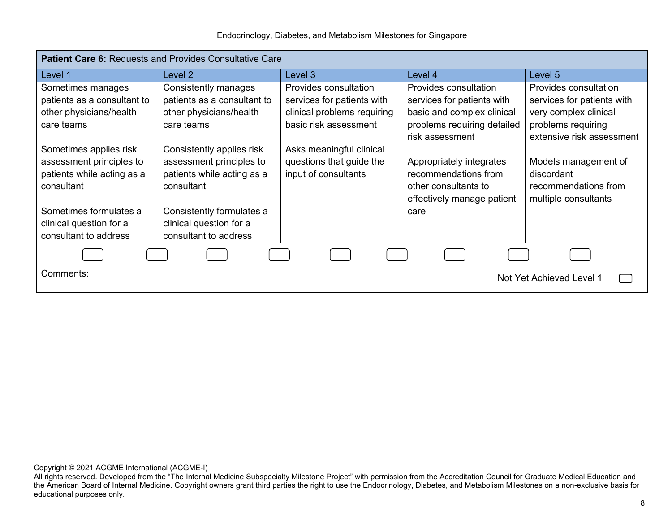| Patient Care 6: Requests and Provides Consultative Care |                             |                             |                             |                            |  |  |  |
|---------------------------------------------------------|-----------------------------|-----------------------------|-----------------------------|----------------------------|--|--|--|
| Level 1                                                 | Level 2                     | Level 3                     | Level 4                     | Level 5                    |  |  |  |
| Sometimes manages                                       | Consistently manages        | Provides consultation       | Provides consultation       | Provides consultation      |  |  |  |
| patients as a consultant to                             | patients as a consultant to | services for patients with  | services for patients with  | services for patients with |  |  |  |
| other physicians/health                                 | other physicians/health     | clinical problems requiring | basic and complex clinical  | very complex clinical      |  |  |  |
| care teams                                              | care teams                  | basic risk assessment       | problems requiring detailed | problems requiring         |  |  |  |
|                                                         |                             |                             | risk assessment             | extensive risk assessment  |  |  |  |
| Sometimes applies risk                                  | Consistently applies risk   | Asks meaningful clinical    |                             |                            |  |  |  |
| assessment principles to                                | assessment principles to    | questions that guide the    | Appropriately integrates    | Models management of       |  |  |  |
| patients while acting as a                              | patients while acting as a  | input of consultants        | recommendations from        | discordant                 |  |  |  |
| consultant                                              | consultant                  |                             | other consultants to        | recommendations from       |  |  |  |
|                                                         |                             |                             | effectively manage patient  | multiple consultants       |  |  |  |
| Sometimes formulates a                                  | Consistently formulates a   |                             | care                        |                            |  |  |  |
| clinical question for a                                 | clinical question for a     |                             |                             |                            |  |  |  |
| consultant to address                                   | consultant to address       |                             |                             |                            |  |  |  |
|                                                         |                             |                             |                             |                            |  |  |  |
| Comments:<br>Not Yet Achieved Level 1                   |                             |                             |                             |                            |  |  |  |

All rights reserved. Developed from the "The Internal Medicine Subspecialty Milestone Project" with permission from the Accreditation Council for Graduate Medical Education and the American Board of Internal Medicine. Copyright owners grant third parties the right to use the Endocrinology, Diabetes, and Metabolism Milestones on a non-exclusive basis for educational purposes only.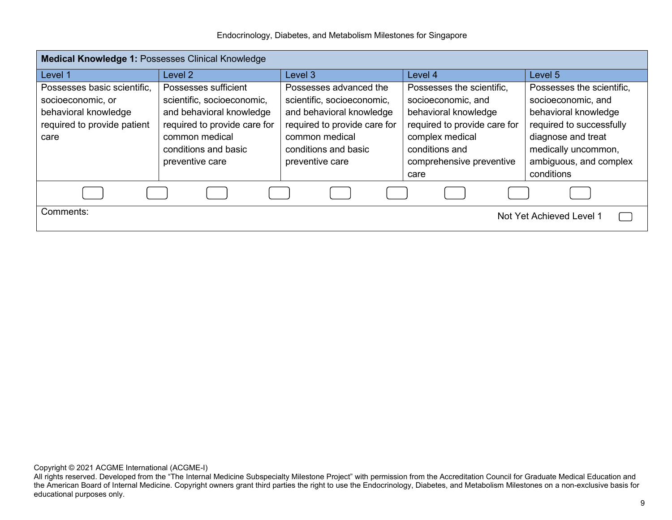| Endocrinology, Diabetes, and Metabolism Milestones for Singapore |  |  |  |
|------------------------------------------------------------------|--|--|--|
|                                                                  |  |  |  |

| <b>Medical Knowledge 1: Possesses Clinical Knowledge</b>                                                        |                                                                                                                                                                             |         |                                                                                                                                                                                  |                                                                                                                                                                                          |  |  |  |
|-----------------------------------------------------------------------------------------------------------------|-----------------------------------------------------------------------------------------------------------------------------------------------------------------------------|---------|----------------------------------------------------------------------------------------------------------------------------------------------------------------------------------|------------------------------------------------------------------------------------------------------------------------------------------------------------------------------------------|--|--|--|
| Level 1                                                                                                         | Level 2                                                                                                                                                                     | Level 3 | Level 4                                                                                                                                                                          | Level 5                                                                                                                                                                                  |  |  |  |
| Possesses basic scientific.<br>socioeconomic, or<br>behavioral knowledge<br>required to provide patient<br>care | Possesses sufficient<br>scientific, socioeconomic,<br>and behavioral knowledge<br>required to provide care for<br>common medical<br>conditions and basic<br>preventive care |         | Possesses the scientific,<br>socioeconomic, and<br>behavioral knowledge<br>required to provide care for<br>complex medical<br>conditions and<br>comprehensive preventive<br>care | Possesses the scientific,<br>socioeconomic, and<br>behavioral knowledge<br>required to successfully<br>diagnose and treat<br>medically uncommon,<br>ambiguous, and complex<br>conditions |  |  |  |
| Comments:<br>Not Yet Achieved Level 1                                                                           |                                                                                                                                                                             |         |                                                                                                                                                                                  |                                                                                                                                                                                          |  |  |  |

All rights reserved. Developed from the "The Internal Medicine Subspecialty Milestone Project" with permission from the Accreditation Council for Graduate Medical Education and the American Board of Internal Medicine. Copyright owners grant third parties the right to use the Endocrinology, Diabetes, and Metabolism Milestones on a non-exclusive basis for educational purposes only.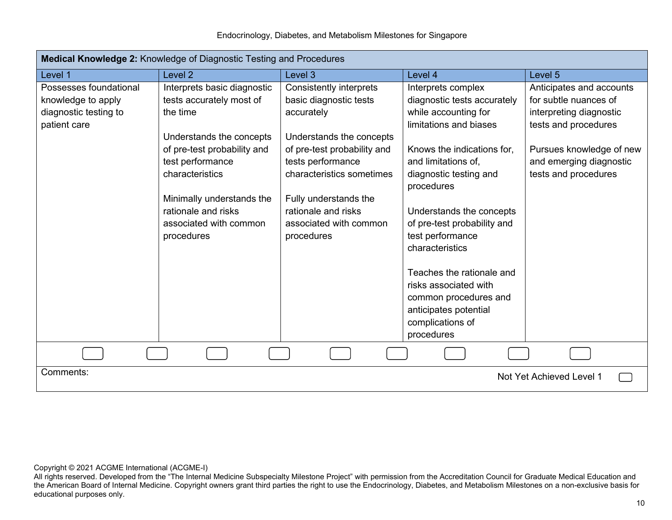|  | Endocrinology, Diabetes, and Metabolism Milestones for Singapore |  |
|--|------------------------------------------------------------------|--|
|  |                                                                  |  |

| Medical Knowledge 2: Knowledge of Diagnostic Testing and Procedures                   |                                                                                                                                                                                                                                                                   |                                                                                                                                                                                                                                                                      |                                                                                                                                                                                                                                                                                                                                                                                                                                |                                                                                                                                                                                     |  |  |
|---------------------------------------------------------------------------------------|-------------------------------------------------------------------------------------------------------------------------------------------------------------------------------------------------------------------------------------------------------------------|----------------------------------------------------------------------------------------------------------------------------------------------------------------------------------------------------------------------------------------------------------------------|--------------------------------------------------------------------------------------------------------------------------------------------------------------------------------------------------------------------------------------------------------------------------------------------------------------------------------------------------------------------------------------------------------------------------------|-------------------------------------------------------------------------------------------------------------------------------------------------------------------------------------|--|--|
| Level 1                                                                               | Level <sub>2</sub>                                                                                                                                                                                                                                                | Level 3                                                                                                                                                                                                                                                              | Level 4                                                                                                                                                                                                                                                                                                                                                                                                                        | Level <sub>5</sub>                                                                                                                                                                  |  |  |
| Possesses foundational<br>knowledge to apply<br>diagnostic testing to<br>patient care | Interprets basic diagnostic<br>tests accurately most of<br>the time<br>Understands the concepts<br>of pre-test probability and<br>test performance<br>characteristics<br>Minimally understands the<br>rationale and risks<br>associated with common<br>procedures | Consistently interprets<br>basic diagnostic tests<br>accurately<br>Understands the concepts<br>of pre-test probability and<br>tests performance<br>characteristics sometimes<br>Fully understands the<br>rationale and risks<br>associated with common<br>procedures | Interprets complex<br>diagnostic tests accurately<br>while accounting for<br>limitations and biases<br>Knows the indications for,<br>and limitations of.<br>diagnostic testing and<br>procedures<br>Understands the concepts<br>of pre-test probability and<br>test performance<br>characteristics<br>Teaches the rationale and<br>risks associated with<br>common procedures and<br>anticipates potential<br>complications of | Anticipates and accounts<br>for subtle nuances of<br>interpreting diagnostic<br>tests and procedures<br>Pursues knowledge of new<br>and emerging diagnostic<br>tests and procedures |  |  |
|                                                                                       |                                                                                                                                                                                                                                                                   |                                                                                                                                                                                                                                                                      | procedures                                                                                                                                                                                                                                                                                                                                                                                                                     |                                                                                                                                                                                     |  |  |
|                                                                                       |                                                                                                                                                                                                                                                                   |                                                                                                                                                                                                                                                                      |                                                                                                                                                                                                                                                                                                                                                                                                                                |                                                                                                                                                                                     |  |  |
| Comments:<br>Not Yet Achieved Level 1                                                 |                                                                                                                                                                                                                                                                   |                                                                                                                                                                                                                                                                      |                                                                                                                                                                                                                                                                                                                                                                                                                                |                                                                                                                                                                                     |  |  |

All rights reserved. Developed from the "The Internal Medicine Subspecialty Milestone Project" with permission from the Accreditation Council for Graduate Medical Education and the American Board of Internal Medicine. Copyright owners grant third parties the right to use the Endocrinology, Diabetes, and Metabolism Milestones on a non-exclusive basis for educational purposes only.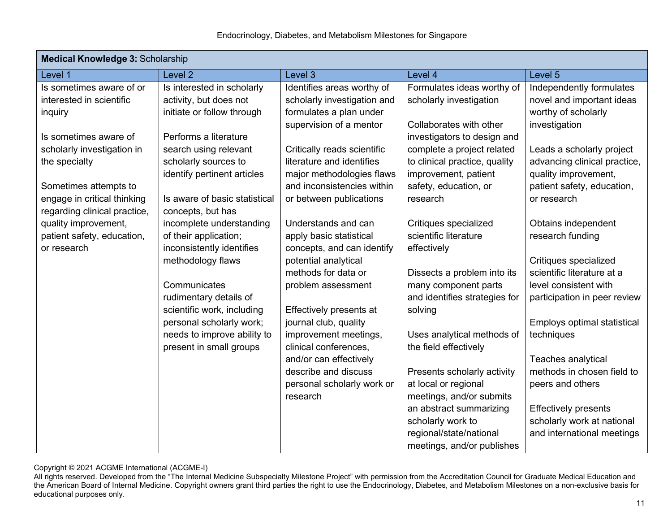| <b>Medical Knowledge 3: Scholarship</b> |                                                      |                                             |                                          |                                                     |  |  |
|-----------------------------------------|------------------------------------------------------|---------------------------------------------|------------------------------------------|-----------------------------------------------------|--|--|
| Level 1                                 | Level <sub>2</sub>                                   | Level 3                                     | Level 4                                  | Level 5                                             |  |  |
| Is sometimes aware of or                | Is interested in scholarly                           | Identifies areas worthy of                  | Formulates ideas worthy of               | Independently formulates                            |  |  |
| interested in scientific                | activity, but does not                               | scholarly investigation and                 | scholarly investigation                  | novel and important ideas                           |  |  |
| inquiry                                 | initiate or follow through                           | formulates a plan under                     |                                          | worthy of scholarly                                 |  |  |
|                                         |                                                      | supervision of a mentor                     | Collaborates with other                  | investigation                                       |  |  |
| Is sometimes aware of                   | Performs a literature                                |                                             | investigators to design and              |                                                     |  |  |
| scholarly investigation in              | search using relevant                                | Critically reads scientific                 | complete a project related               | Leads a scholarly project                           |  |  |
| the specialty                           | scholarly sources to                                 | literature and identifies                   | to clinical practice, quality            | advancing clinical practice,                        |  |  |
|                                         | identify pertinent articles                          | major methodologies flaws                   | improvement, patient                     | quality improvement,                                |  |  |
| Sometimes attempts to                   |                                                      | and inconsistencies within                  | safety, education, or                    | patient safety, education,                          |  |  |
| engage in critical thinking             | Is aware of basic statistical                        | or between publications                     | research                                 | or research                                         |  |  |
| regarding clinical practice,            | concepts, but has                                    |                                             |                                          |                                                     |  |  |
| quality improvement,                    | incomplete understanding                             | Understands and can                         | Critiques specialized                    | Obtains independent                                 |  |  |
| patient safety, education,              | of their application;                                | apply basic statistical                     | scientific literature                    | research funding                                    |  |  |
| or research                             | inconsistently identifies                            | concepts, and can identify                  | effectively                              |                                                     |  |  |
|                                         | methodology flaws                                    | potential analytical<br>methods for data or |                                          | Critiques specialized<br>scientific literature at a |  |  |
|                                         | Communicates                                         |                                             | Dissects a problem into its              |                                                     |  |  |
|                                         |                                                      | problem assessment                          | many component parts                     | level consistent with                               |  |  |
|                                         | rudimentary details of<br>scientific work, including | Effectively presents at                     | and identifies strategies for<br>solving | participation in peer review                        |  |  |
|                                         | personal scholarly work;                             | journal club, quality                       |                                          | Employs optimal statistical                         |  |  |
|                                         | needs to improve ability to                          | improvement meetings,                       | Uses analytical methods of               | techniques                                          |  |  |
|                                         | present in small groups                              | clinical conferences,                       | the field effectively                    |                                                     |  |  |
|                                         |                                                      | and/or can effectively                      |                                          | Teaches analytical                                  |  |  |
|                                         |                                                      | describe and discuss                        | Presents scholarly activity              | methods in chosen field to                          |  |  |
|                                         |                                                      | personal scholarly work or                  | at local or regional                     | peers and others                                    |  |  |
|                                         |                                                      | research                                    | meetings, and/or submits                 |                                                     |  |  |
|                                         |                                                      |                                             | an abstract summarizing                  | <b>Effectively presents</b>                         |  |  |
|                                         |                                                      |                                             | scholarly work to                        | scholarly work at national                          |  |  |
|                                         |                                                      |                                             | regional/state/national                  | and international meetings                          |  |  |
|                                         |                                                      |                                             | meetings, and/or publishes               |                                                     |  |  |

All rights reserved. Developed from the "The Internal Medicine Subspecialty Milestone Project" with permission from the Accreditation Council for Graduate Medical Education and the American Board of Internal Medicine. Copyright owners grant third parties the right to use the Endocrinology, Diabetes, and Metabolism Milestones on a non-exclusive basis for educational purposes only.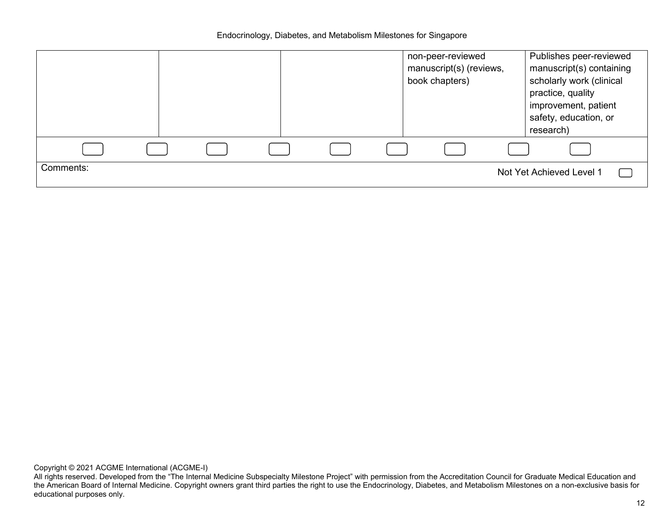|           |  |  |  | non-peer-reviewed<br>manuscript(s) (reviews,<br>book chapters) | Publishes peer-reviewed<br>manuscript(s) containing<br>scholarly work (clinical<br>practice, quality<br>improvement, patient<br>safety, education, or<br>research) |  |
|-----------|--|--|--|----------------------------------------------------------------|--------------------------------------------------------------------------------------------------------------------------------------------------------------------|--|
|           |  |  |  |                                                                |                                                                                                                                                                    |  |
| Comments: |  |  |  |                                                                | Not Yet Achieved Level 1                                                                                                                                           |  |

All rights reserved. Developed from the "The Internal Medicine Subspecialty Milestone Project" with permission from the Accreditation Council for Graduate Medical Education and the American Board of Internal Medicine. Copyright owners grant third parties the right to use the Endocrinology, Diabetes, and Metabolism Milestones on a non-exclusive basis for educational purposes only.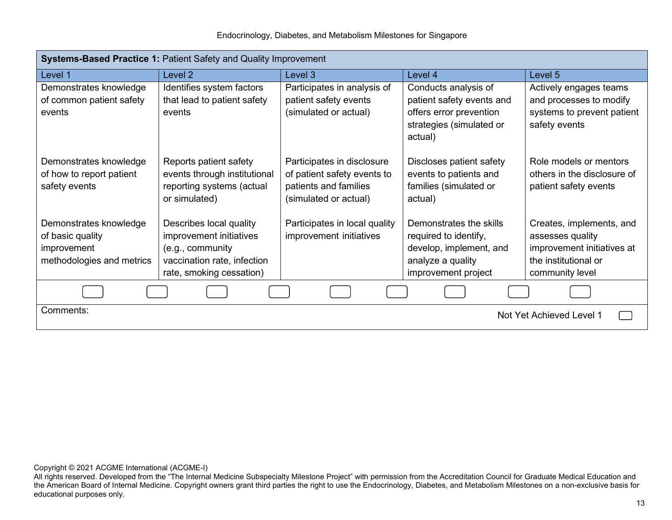|  | Endocrinology, Diabetes, and Metabolism Milestones for Singapore |  |
|--|------------------------------------------------------------------|--|
|--|------------------------------------------------------------------|--|

| <b>Systems-Based Practice 1: Patient Safety and Quality Improvement</b> |                              |                               |                           |                             |  |  |
|-------------------------------------------------------------------------|------------------------------|-------------------------------|---------------------------|-----------------------------|--|--|
| Level 1                                                                 | Level 2                      | Level 3                       | Level 4                   | Level 5                     |  |  |
| Demonstrates knowledge                                                  | Identifies system factors    | Participates in analysis of   | Conducts analysis of      | Actively engages teams      |  |  |
| of common patient safety                                                | that lead to patient safety  | patient safety events         | patient safety events and | and processes to modify     |  |  |
| events                                                                  | events                       | (simulated or actual)         | offers error prevention   | systems to prevent patient  |  |  |
|                                                                         |                              |                               | strategies (simulated or  | safety events               |  |  |
|                                                                         |                              |                               | actual)                   |                             |  |  |
| Demonstrates knowledge                                                  | Reports patient safety       | Participates in disclosure    | Discloses patient safety  | Role models or mentors      |  |  |
| of how to report patient                                                | events through institutional | of patient safety events to   | events to patients and    | others in the disclosure of |  |  |
| safety events                                                           | reporting systems (actual    | patients and families         | families (simulated or    | patient safety events       |  |  |
|                                                                         | or simulated)                | (simulated or actual)         | actual)                   |                             |  |  |
| Demonstrates knowledge                                                  | Describes local quality      | Participates in local quality | Demonstrates the skills   | Creates, implements, and    |  |  |
| of basic quality                                                        | improvement initiatives      | improvement initiatives       | required to identify,     | assesses quality            |  |  |
| improvement                                                             | (e.g., community             |                               | develop, implement, and   | improvement initiatives at  |  |  |
| methodologies and metrics                                               | vaccination rate, infection  |                               | analyze a quality         | the institutional or        |  |  |
|                                                                         | rate, smoking cessation)     |                               | improvement project       | community level             |  |  |
|                                                                         |                              |                               |                           |                             |  |  |
| Comments:<br>Not Yet Achieved Level 1                                   |                              |                               |                           |                             |  |  |

All rights reserved. Developed from the "The Internal Medicine Subspecialty Milestone Project" with permission from the Accreditation Council for Graduate Medical Education and the American Board of Internal Medicine. Copyright owners grant third parties the right to use the Endocrinology, Diabetes, and Metabolism Milestones on a non-exclusive basis for educational purposes only.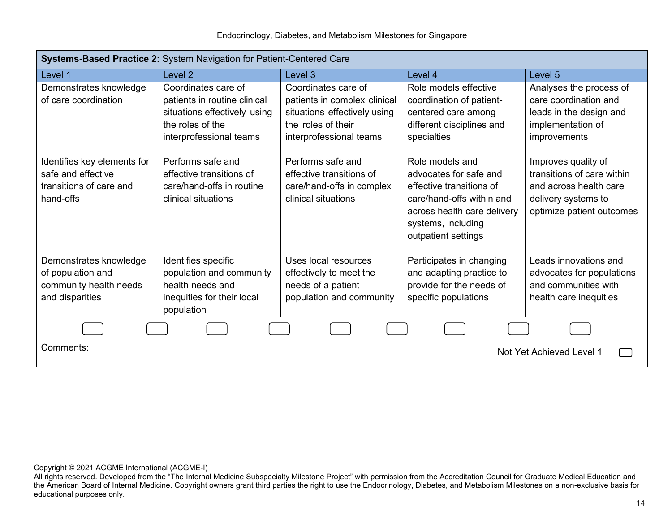| Systems-Based Practice 2: System Navigation for Patient-Centered Care                     |                                                                                                                                    |                                                                                                                                      |                                                                                                                                                                                |                                                                                                                                 |  |
|-------------------------------------------------------------------------------------------|------------------------------------------------------------------------------------------------------------------------------------|--------------------------------------------------------------------------------------------------------------------------------------|--------------------------------------------------------------------------------------------------------------------------------------------------------------------------------|---------------------------------------------------------------------------------------------------------------------------------|--|
| Level 1                                                                                   | Level <sub>2</sub>                                                                                                                 | Level 3                                                                                                                              | Level 4                                                                                                                                                                        | Level 5                                                                                                                         |  |
| Demonstrates knowledge<br>of care coordination                                            | Coordinates care of<br>patients in routine clinical<br>situations effectively using<br>the roles of the<br>interprofessional teams | Coordinates care of<br>patients in complex clinical<br>situations effectively using<br>the roles of their<br>interprofessional teams | Role models effective<br>coordination of patient-<br>centered care among<br>different disciplines and<br>specialties                                                           | Analyses the process of<br>care coordination and<br>leads in the design and<br>implementation of<br>improvements                |  |
| Identifies key elements for<br>safe and effective<br>transitions of care and<br>hand-offs | Performs safe and<br>effective transitions of<br>care/hand-offs in routine<br>clinical situations                                  | Performs safe and<br>effective transitions of<br>care/hand-offs in complex<br>clinical situations                                    | Role models and<br>advocates for safe and<br>effective transitions of<br>care/hand-offs within and<br>across health care delivery<br>systems, including<br>outpatient settings | Improves quality of<br>transitions of care within<br>and across health care<br>delivery systems to<br>optimize patient outcomes |  |
| Demonstrates knowledge<br>of population and<br>community health needs<br>and disparities  | Identifies specific<br>population and community<br>health needs and<br>inequities for their local<br>population                    | Uses local resources<br>effectively to meet the<br>needs of a patient<br>population and community                                    | Participates in changing<br>and adapting practice to<br>provide for the needs of<br>specific populations                                                                       | Leads innovations and<br>advocates for populations<br>and communities with<br>health care inequities                            |  |
|                                                                                           |                                                                                                                                    |                                                                                                                                      |                                                                                                                                                                                |                                                                                                                                 |  |
| Comments:<br>Not Yet Achieved Level 1                                                     |                                                                                                                                    |                                                                                                                                      |                                                                                                                                                                                |                                                                                                                                 |  |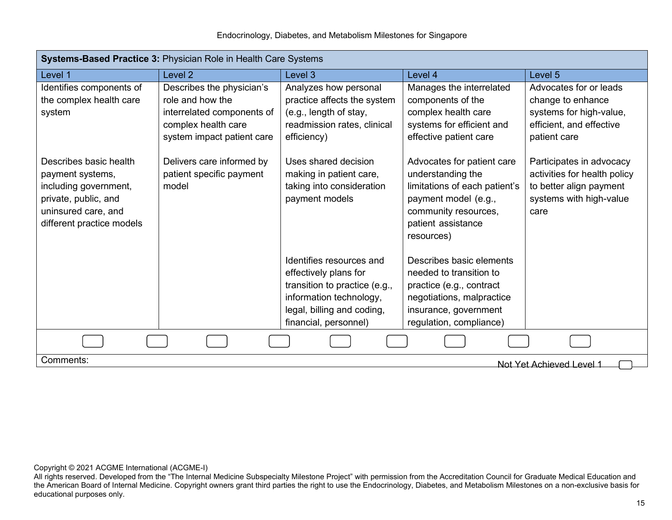| Systems-Based Practice 3: Physician Role in Health Care Systems                                                                                 |                                                                                                                                  |                                                                                                                                                                      |                                                                                                                                                                      |                                                                                                                        |  |  |
|-------------------------------------------------------------------------------------------------------------------------------------------------|----------------------------------------------------------------------------------------------------------------------------------|----------------------------------------------------------------------------------------------------------------------------------------------------------------------|----------------------------------------------------------------------------------------------------------------------------------------------------------------------|------------------------------------------------------------------------------------------------------------------------|--|--|
| Level 1                                                                                                                                         | Level <sub>2</sub>                                                                                                               | Level 3                                                                                                                                                              | Level 4                                                                                                                                                              | Level 5                                                                                                                |  |  |
| Identifies components of<br>the complex health care<br>system                                                                                   | Describes the physician's<br>role and how the<br>interrelated components of<br>complex health care<br>system impact patient care | Analyzes how personal<br>practice affects the system<br>(e.g., length of stay,<br>readmission rates, clinical<br>efficiency)                                         | Manages the interrelated<br>components of the<br>complex health care<br>systems for efficient and<br>effective patient care                                          | Advocates for or leads<br>change to enhance<br>systems for high-value,<br>efficient, and effective<br>patient care     |  |  |
| Describes basic health<br>payment systems,<br>including government,<br>private, public, and<br>uninsured care, and<br>different practice models | Delivers care informed by<br>patient specific payment<br>model                                                                   | Uses shared decision<br>making in patient care,<br>taking into consideration<br>payment models                                                                       | Advocates for patient care<br>understanding the<br>limitations of each patient's<br>payment model (e.g.,<br>community resources,<br>patient assistance<br>resources) | Participates in advocacy<br>activities for health policy<br>to better align payment<br>systems with high-value<br>care |  |  |
|                                                                                                                                                 |                                                                                                                                  | Identifies resources and<br>effectively plans for<br>transition to practice (e.g.,<br>information technology,<br>legal, billing and coding,<br>financial, personnel) | Describes basic elements<br>needed to transition to<br>practice (e.g., contract<br>negotiations, malpractice<br>insurance, government<br>regulation, compliance)     |                                                                                                                        |  |  |
|                                                                                                                                                 |                                                                                                                                  |                                                                                                                                                                      |                                                                                                                                                                      |                                                                                                                        |  |  |
| Comments:                                                                                                                                       |                                                                                                                                  |                                                                                                                                                                      |                                                                                                                                                                      | Not Yet Achieved Level 1                                                                                               |  |  |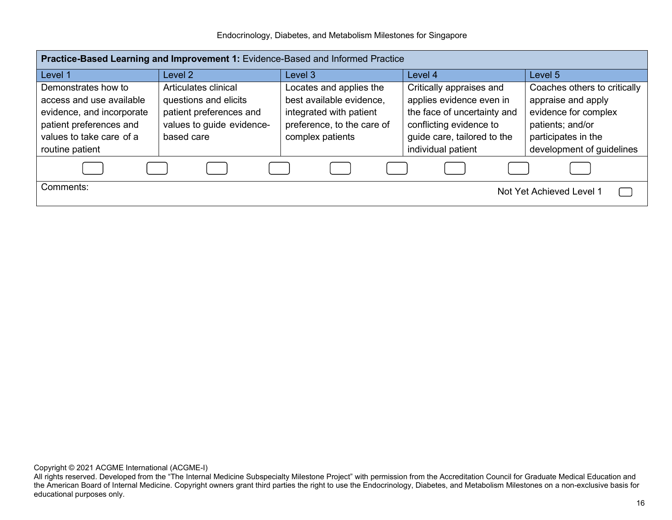|  | Endocrinology, Diabetes, and Metabolism Milestones for Singapore |  |
|--|------------------------------------------------------------------|--|
|  |                                                                  |  |

| Practice-Based Learning and Improvement 1: Evidence-Based and Informed Practice |                           |                            |                             |                              |  |
|---------------------------------------------------------------------------------|---------------------------|----------------------------|-----------------------------|------------------------------|--|
| Level 1                                                                         | Level 2                   | Level 3                    | Level 4                     | Level 5                      |  |
| Demonstrates how to                                                             | Articulates clinical      | Locates and applies the    | Critically appraises and    | Coaches others to critically |  |
| access and use available                                                        | questions and elicits     | best available evidence,   | applies evidence even in    | appraise and apply           |  |
| evidence, and incorporate                                                       | patient preferences and   | integrated with patient    | the face of uncertainty and | evidence for complex         |  |
| patient preferences and                                                         | values to guide evidence- | preference, to the care of | conflicting evidence to     | patients; and/or             |  |
| values to take care of a                                                        | based care                | complex patients           | guide care, tailored to the | participates in the          |  |
| routine patient                                                                 |                           |                            | individual patient          | development of guidelines    |  |
|                                                                                 |                           |                            |                             |                              |  |
| Comments:                                                                       |                           |                            |                             | Not Yet Achieved Level 1     |  |

All rights reserved. Developed from the "The Internal Medicine Subspecialty Milestone Project" with permission from the Accreditation Council for Graduate Medical Education and the American Board of Internal Medicine. Copyright owners grant third parties the right to use the Endocrinology, Diabetes, and Metabolism Milestones on a non-exclusive basis for educational purposes only.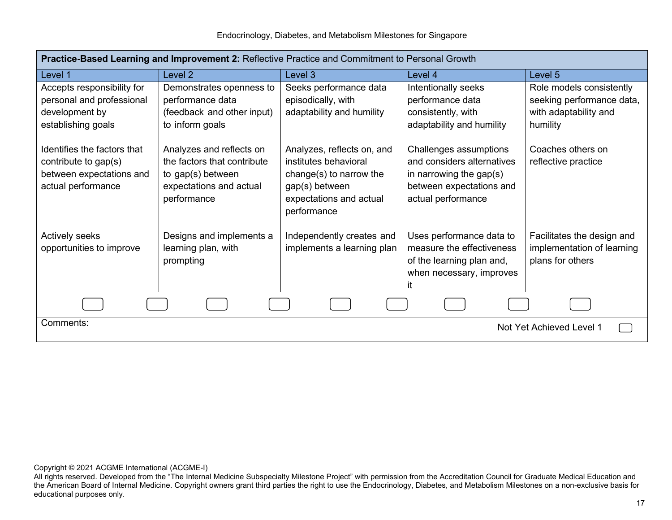| Practice-Based Learning and Improvement 2: Reflective Practice and Commitment to Personal Growth      |                                                                                                                        |                                                                                                                                            |                                                                                                                                   |                                          |  |  |
|-------------------------------------------------------------------------------------------------------|------------------------------------------------------------------------------------------------------------------------|--------------------------------------------------------------------------------------------------------------------------------------------|-----------------------------------------------------------------------------------------------------------------------------------|------------------------------------------|--|--|
| Level 1                                                                                               | Level 2                                                                                                                | Level 3                                                                                                                                    | Level 4                                                                                                                           | Level 5                                  |  |  |
| Accepts responsibility for                                                                            | Demonstrates openness to                                                                                               | Seeks performance data                                                                                                                     | Intentionally seeks                                                                                                               | Role models consistently                 |  |  |
| personal and professional                                                                             | performance data                                                                                                       | episodically, with                                                                                                                         | performance data                                                                                                                  | seeking performance data,                |  |  |
| development by                                                                                        | (feedback and other input)                                                                                             | adaptability and humility                                                                                                                  | consistently, with                                                                                                                | with adaptability and                    |  |  |
| establishing goals                                                                                    | to inform goals                                                                                                        |                                                                                                                                            | adaptability and humility                                                                                                         | humility                                 |  |  |
| Identifies the factors that<br>contribute to gap(s)<br>between expectations and<br>actual performance | Analyzes and reflects on<br>the factors that contribute<br>to gap(s) between<br>expectations and actual<br>performance | Analyzes, reflects on, and<br>institutes behavioral<br>change(s) to narrow the<br>gap(s) between<br>expectations and actual<br>performance | Challenges assumptions<br>and considers alternatives<br>in narrowing the gap(s)<br>between expectations and<br>actual performance | Coaches others on<br>reflective practice |  |  |
| Actively seeks                                                                                        | Designs and implements a                                                                                               | Independently creates and                                                                                                                  | Uses performance data to                                                                                                          | Facilitates the design and               |  |  |
| opportunities to improve                                                                              | learning plan, with                                                                                                    | implements a learning plan                                                                                                                 | measure the effectiveness                                                                                                         | implementation of learning               |  |  |
|                                                                                                       | prompting                                                                                                              |                                                                                                                                            | of the learning plan and,                                                                                                         | plans for others                         |  |  |
|                                                                                                       |                                                                                                                        |                                                                                                                                            | when necessary, improves                                                                                                          |                                          |  |  |
|                                                                                                       |                                                                                                                        |                                                                                                                                            | it                                                                                                                                |                                          |  |  |
|                                                                                                       |                                                                                                                        |                                                                                                                                            |                                                                                                                                   |                                          |  |  |
| Comments:<br>Not Yet Achieved Level 1                                                                 |                                                                                                                        |                                                                                                                                            |                                                                                                                                   |                                          |  |  |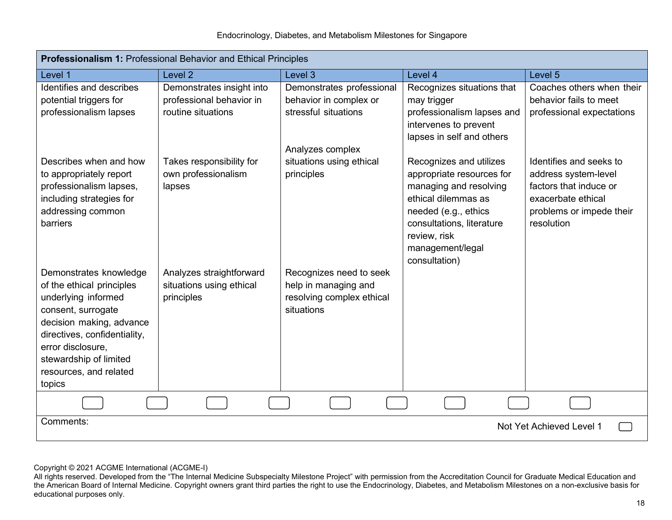| <b>Professionalism 1: Professional Behavior and Ethical Principles</b>                                                                                                                                                                          |                                                                             |                                                                                            |                                                                                                                                                                                                                 |                                                                                                                                           |  |  |
|-------------------------------------------------------------------------------------------------------------------------------------------------------------------------------------------------------------------------------------------------|-----------------------------------------------------------------------------|--------------------------------------------------------------------------------------------|-----------------------------------------------------------------------------------------------------------------------------------------------------------------------------------------------------------------|-------------------------------------------------------------------------------------------------------------------------------------------|--|--|
| Level 1                                                                                                                                                                                                                                         | Level <sub>2</sub>                                                          | Level 3                                                                                    | Level 4                                                                                                                                                                                                         | Level 5                                                                                                                                   |  |  |
| Identifies and describes<br>potential triggers for<br>professionalism lapses                                                                                                                                                                    | Demonstrates insight into<br>professional behavior in<br>routine situations | Demonstrates professional<br>behavior in complex or<br>stressful situations                | Recognizes situations that<br>may trigger<br>professionalism lapses and<br>intervenes to prevent<br>lapses in self and others                                                                                   | Coaches others when their<br>behavior fails to meet<br>professional expectations                                                          |  |  |
| Describes when and how<br>to appropriately report<br>professionalism lapses,<br>including strategies for<br>addressing common<br>barriers                                                                                                       | Takes responsibility for<br>own professionalism<br>lapses                   | Analyzes complex<br>situations using ethical<br>principles                                 | Recognizes and utilizes<br>appropriate resources for<br>managing and resolving<br>ethical dilemmas as<br>needed (e.g., ethics<br>consultations, literature<br>review, risk<br>management/legal<br>consultation) | Identifies and seeks to<br>address system-level<br>factors that induce or<br>exacerbate ethical<br>problems or impede their<br>resolution |  |  |
| Demonstrates knowledge<br>of the ethical principles<br>underlying informed<br>consent, surrogate<br>decision making, advance<br>directives, confidentiality,<br>error disclosure,<br>stewardship of limited<br>resources, and related<br>topics | Analyzes straightforward<br>situations using ethical<br>principles          | Recognizes need to seek<br>help in managing and<br>resolving complex ethical<br>situations |                                                                                                                                                                                                                 |                                                                                                                                           |  |  |
|                                                                                                                                                                                                                                                 |                                                                             |                                                                                            |                                                                                                                                                                                                                 |                                                                                                                                           |  |  |
| Comments:<br>Not Yet Achieved Level 1                                                                                                                                                                                                           |                                                                             |                                                                                            |                                                                                                                                                                                                                 |                                                                                                                                           |  |  |

All rights reserved. Developed from the "The Internal Medicine Subspecialty Milestone Project" with permission from the Accreditation Council for Graduate Medical Education and the American Board of Internal Medicine. Copyright owners grant third parties the right to use the Endocrinology, Diabetes, and Metabolism Milestones on a non-exclusive basis for educational purposes only.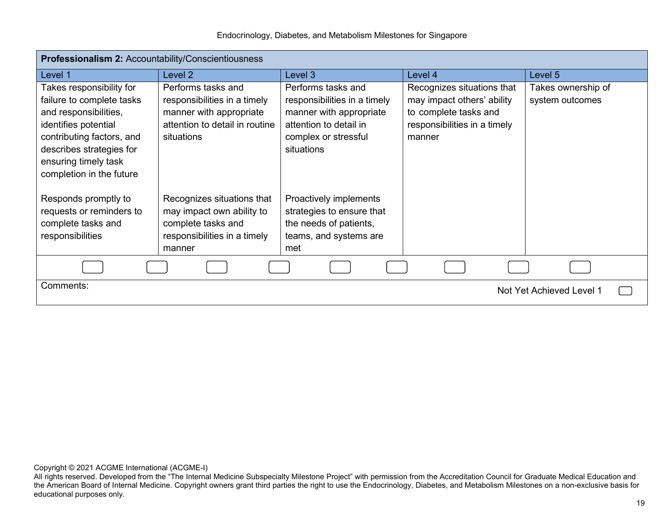| <b>Professionalism 2: Accountability/Conscientiousness</b>                                                                                                                                                          |                                                                                                                               |                                                                                                                                               |                                                                                                                             |                                       |  |  |
|---------------------------------------------------------------------------------------------------------------------------------------------------------------------------------------------------------------------|-------------------------------------------------------------------------------------------------------------------------------|-----------------------------------------------------------------------------------------------------------------------------------------------|-----------------------------------------------------------------------------------------------------------------------------|---------------------------------------|--|--|
| Level 1                                                                                                                                                                                                             | Level <sub>2</sub>                                                                                                            | Level 3                                                                                                                                       | Level 4                                                                                                                     | Level 5                               |  |  |
| Takes responsibility for<br>failure to complete tasks<br>and responsibilities,<br>identifies potential<br>contributing factors, and<br>describes strategies for<br>ensuring timely task<br>completion in the future | Performs tasks and<br>responsibilities in a timely<br>manner with appropriate<br>attention to detail in routine<br>situations | Performs tasks and<br>responsibilities in a timely<br>manner with appropriate<br>attention to detail in<br>complex or stressful<br>situations | Recognizes situations that<br>may impact others' ability<br>to complete tasks and<br>responsibilities in a timely<br>manner | Takes ownership of<br>system outcomes |  |  |
| Responds promptly to<br>requests or reminders to<br>complete tasks and<br>responsibilities                                                                                                                          | Recognizes situations that<br>may impact own ability to<br>complete tasks and<br>responsibilities in a timely<br>manner       | Proactively implements<br>strategies to ensure that<br>the needs of patients,<br>teams, and systems are<br>met                                |                                                                                                                             |                                       |  |  |
|                                                                                                                                                                                                                     |                                                                                                                               |                                                                                                                                               |                                                                                                                             |                                       |  |  |
| Comments:<br>Not Yet Achieved Level 1                                                                                                                                                                               |                                                                                                                               |                                                                                                                                               |                                                                                                                             |                                       |  |  |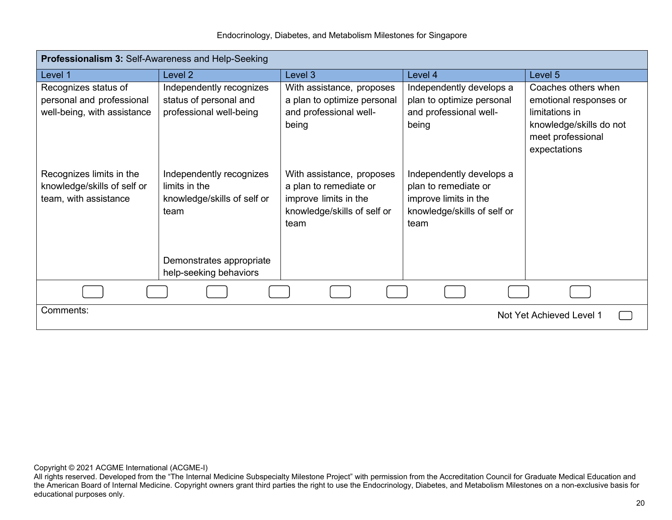| Professionalism 3: Self-Awareness and Help-Seeking |                             |                             |                             |                         |
|----------------------------------------------------|-----------------------------|-----------------------------|-----------------------------|-------------------------|
| Level 1                                            | Level 2                     | Level 3                     | Level 4                     | Level 5                 |
| Recognizes status of                               | Independently recognizes    | With assistance, proposes   | Independently develops a    | Coaches others when     |
| personal and professional                          | status of personal and      | a plan to optimize personal | plan to optimize personal   | emotional responses or  |
| well-being, with assistance                        | professional well-being     | and professional well-      | and professional well-      | limitations in          |
|                                                    |                             | being                       | being                       | knowledge/skills do not |
|                                                    |                             |                             |                             | meet professional       |
|                                                    |                             |                             |                             | expectations            |
| Recognizes limits in the                           | Independently recognizes    | With assistance, proposes   | Independently develops a    |                         |
| knowledge/skills of self or                        | limits in the               | a plan to remediate or      | plan to remediate or        |                         |
| team, with assistance                              | knowledge/skills of self or | improve limits in the       | improve limits in the       |                         |
|                                                    | team                        | knowledge/skills of self or | knowledge/skills of self or |                         |
|                                                    |                             | team                        | team                        |                         |
|                                                    |                             |                             |                             |                         |
|                                                    |                             |                             |                             |                         |
|                                                    | Demonstrates appropriate    |                             |                             |                         |
|                                                    | help-seeking behaviors      |                             |                             |                         |
|                                                    |                             |                             |                             |                         |
| Comments:<br>Not Yet Achieved Level 1              |                             |                             |                             |                         |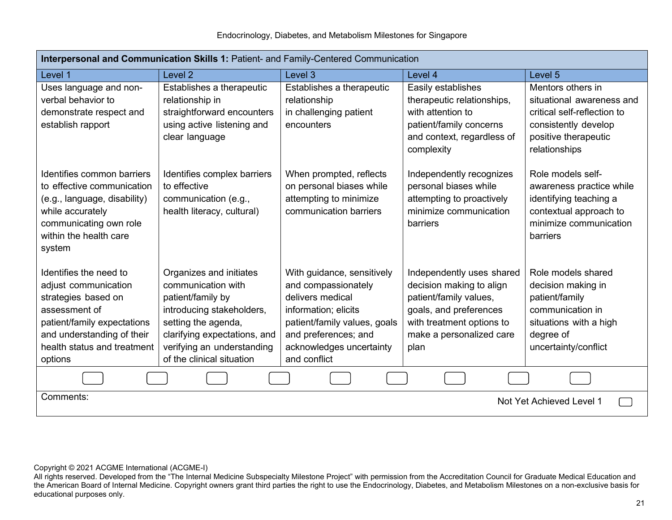| Interpersonal and Communication Skills 1: Patient- and Family-Centered Communication                                                                                                          |                                                                                                                                                                                                                   |                                                                                                                                                                                                   |                                                                                                                                                                            |                                                                                                                                                |
|-----------------------------------------------------------------------------------------------------------------------------------------------------------------------------------------------|-------------------------------------------------------------------------------------------------------------------------------------------------------------------------------------------------------------------|---------------------------------------------------------------------------------------------------------------------------------------------------------------------------------------------------|----------------------------------------------------------------------------------------------------------------------------------------------------------------------------|------------------------------------------------------------------------------------------------------------------------------------------------|
| Level 1                                                                                                                                                                                       | Level <sub>2</sub>                                                                                                                                                                                                | Level 3                                                                                                                                                                                           | Level 4                                                                                                                                                                    | Level <sub>5</sub>                                                                                                                             |
| Uses language and non-<br>verbal behavior to<br>demonstrate respect and<br>establish rapport                                                                                                  | Establishes a therapeutic<br>relationship in<br>straightforward encounters<br>using active listening and<br>clear language                                                                                        | Establishes a therapeutic<br>relationship<br>in challenging patient<br>encounters                                                                                                                 | Easily establishes<br>therapeutic relationships,<br>with attention to<br>patient/family concerns<br>and context, regardless of<br>complexity                               | Mentors others in<br>situational awareness and<br>critical self-reflection to<br>consistently develop<br>positive therapeutic<br>relationships |
| Identifies common barriers<br>to effective communication<br>(e.g., language, disability)<br>while accurately<br>communicating own role<br>within the health care<br>system                    | Identifies complex barriers<br>to effective<br>communication (e.g.,<br>health literacy, cultural)                                                                                                                 | When prompted, reflects<br>on personal biases while<br>attempting to minimize<br>communication barriers                                                                                           | Independently recognizes<br>personal biases while<br>attempting to proactively<br>minimize communication<br>barriers                                                       | Role models self-<br>awareness practice while<br>identifying teaching a<br>contextual approach to<br>minimize communication<br>barriers        |
| Identifies the need to<br>adjust communication<br>strategies based on<br>assessment of<br>patient/family expectations<br>and understanding of their<br>health status and treatment<br>options | Organizes and initiates<br>communication with<br>patient/family by<br>introducing stakeholders,<br>setting the agenda,<br>clarifying expectations, and<br>verifying an understanding<br>of the clinical situation | With guidance, sensitively<br>and compassionately<br>delivers medical<br>information; elicits<br>patient/family values, goals<br>and preferences; and<br>acknowledges uncertainty<br>and conflict | Independently uses shared<br>decision making to align<br>patient/family values,<br>goals, and preferences<br>with treatment options to<br>make a personalized care<br>plan | Role models shared<br>decision making in<br>patient/family<br>communication in<br>situations with a high<br>degree of<br>uncertainty/conflict  |
|                                                                                                                                                                                               |                                                                                                                                                                                                                   |                                                                                                                                                                                                   |                                                                                                                                                                            |                                                                                                                                                |
| Comments:<br>Not Yet Achieved Level 1                                                                                                                                                         |                                                                                                                                                                                                                   |                                                                                                                                                                                                   |                                                                                                                                                                            |                                                                                                                                                |

All rights reserved. Developed from the "The Internal Medicine Subspecialty Milestone Project" with permission from the Accreditation Council for Graduate Medical Education and the American Board of Internal Medicine. Copyright owners grant third parties the right to use the Endocrinology, Diabetes, and Metabolism Milestones on a non-exclusive basis for educational purposes only.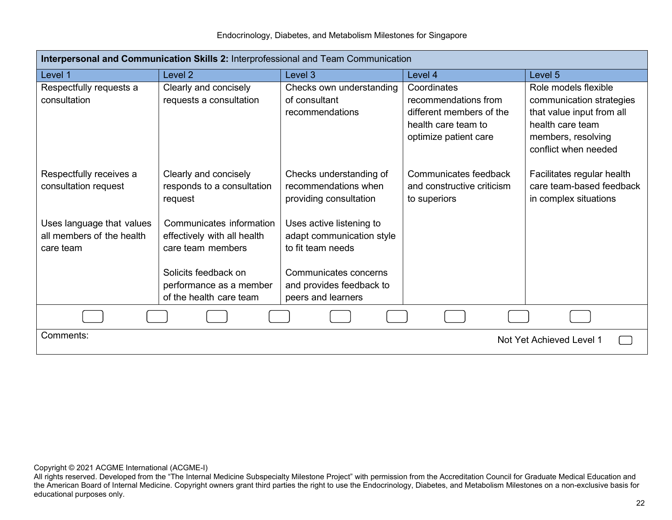Endocrinology, Diabetes, and Metabolism Milestones for Singapore

| Interpersonal and Communication Skills 2: Interprofessional and Team Communication |                                                                                                      |                                                                                                     |                                                                                                                 |                                                                                                                                                 |
|------------------------------------------------------------------------------------|------------------------------------------------------------------------------------------------------|-----------------------------------------------------------------------------------------------------|-----------------------------------------------------------------------------------------------------------------|-------------------------------------------------------------------------------------------------------------------------------------------------|
| Level 1                                                                            | Level <sub>2</sub>                                                                                   | Level 3                                                                                             | Level 4                                                                                                         | Level 5                                                                                                                                         |
| Respectfully requests a<br>consultation                                            | Clearly and concisely<br>requests a consultation                                                     | Checks own understanding<br>of consultant<br>recommendations                                        | Coordinates<br>recommendations from<br>different members of the<br>health care team to<br>optimize patient care | Role models flexible<br>communication strategies<br>that value input from all<br>health care team<br>members, resolving<br>conflict when needed |
| Respectfully receives a<br>consultation request                                    | Clearly and concisely<br>responds to a consultation<br>request                                       | Checks understanding of<br>recommendations when<br>providing consultation                           | Communicates feedback<br>and constructive criticism<br>to superiors                                             | Facilitates regular health<br>care team-based feedback<br>in complex situations                                                                 |
| Uses language that values<br>all members of the health<br>care team                | Communicates information<br>effectively with all health<br>care team members<br>Solicits feedback on | Uses active listening to<br>adapt communication style<br>to fit team needs<br>Communicates concerns |                                                                                                                 |                                                                                                                                                 |
|                                                                                    | performance as a member<br>of the health care team                                                   | and provides feedback to<br>peers and learners                                                      |                                                                                                                 |                                                                                                                                                 |
|                                                                                    |                                                                                                      |                                                                                                     |                                                                                                                 |                                                                                                                                                 |
| Comments:<br>Not Yet Achieved Level 1                                              |                                                                                                      |                                                                                                     |                                                                                                                 |                                                                                                                                                 |

All rights reserved. Developed from the "The Internal Medicine Subspecialty Milestone Project" with permission from the Accreditation Council for Graduate Medical Education and the American Board of Internal Medicine. Copyright owners grant third parties the right to use the Endocrinology, Diabetes, and Metabolism Milestones on a non-exclusive basis for educational purposes only.